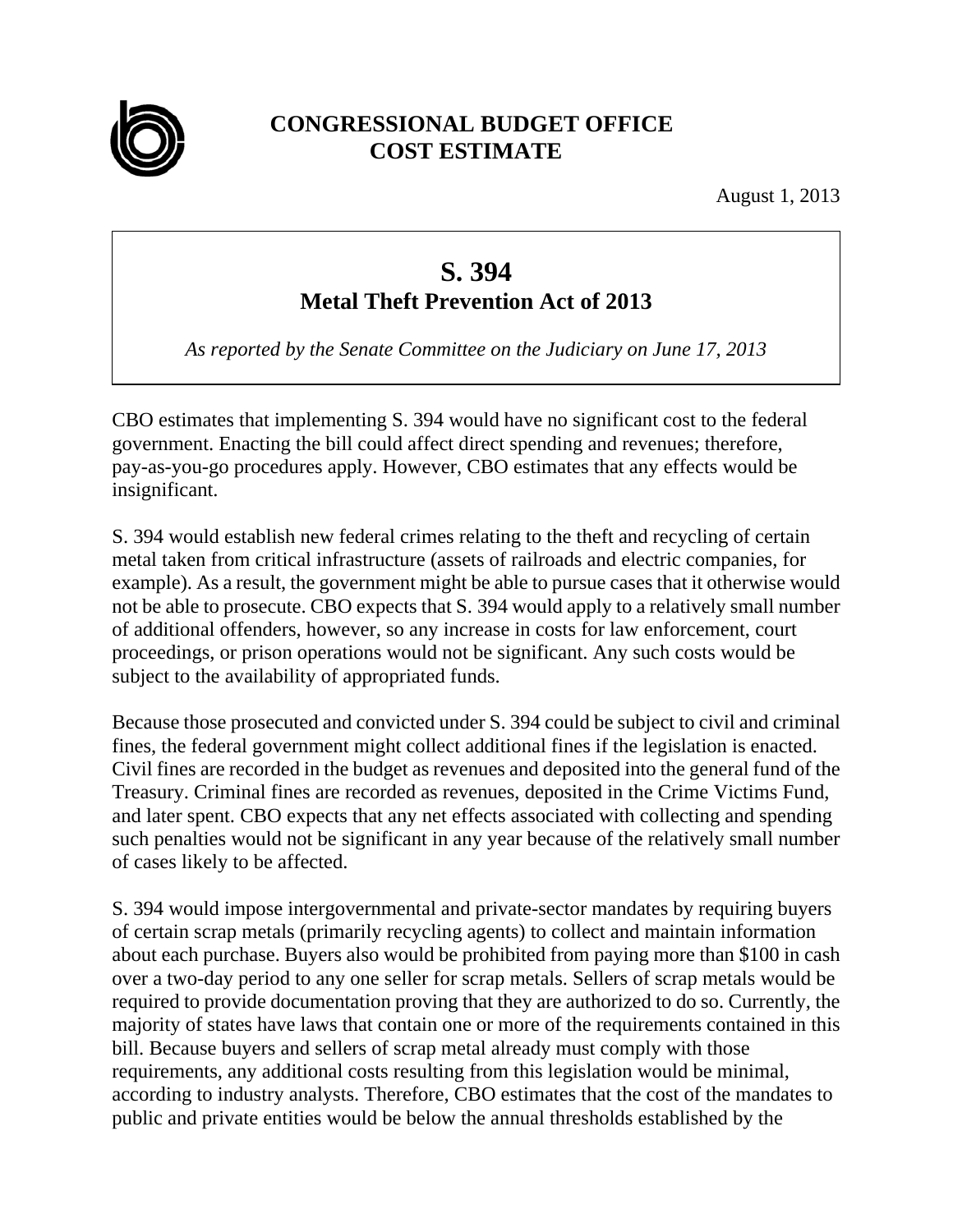

## **CONGRESSIONAL BUDGET OFFICE COST ESTIMATE**

August 1, 2013

## **S. 394**

## **Metal Theft Prevention Act of 2013**

*As reported by the Senate Committee on the Judiciary on June 17, 2013* 

CBO estimates that implementing S. 394 would have no significant cost to the federal government. Enacting the bill could affect direct spending and revenues; therefore, pay-as-you-go procedures apply. However, CBO estimates that any effects would be insignificant.

S. 394 would establish new federal crimes relating to the theft and recycling of certain metal taken from critical infrastructure (assets of railroads and electric companies, for example). As a result, the government might be able to pursue cases that it otherwise would not be able to prosecute. CBO expects that S. 394 would apply to a relatively small number of additional offenders, however, so any increase in costs for law enforcement, court proceedings, or prison operations would not be significant. Any such costs would be subject to the availability of appropriated funds.

Because those prosecuted and convicted under S. 394 could be subject to civil and criminal fines, the federal government might collect additional fines if the legislation is enacted. Civil fines are recorded in the budget as revenues and deposited into the general fund of the Treasury. Criminal fines are recorded as revenues, deposited in the Crime Victims Fund, and later spent. CBO expects that any net effects associated with collecting and spending such penalties would not be significant in any year because of the relatively small number of cases likely to be affected.

S. 394 would impose intergovernmental and private-sector mandates by requiring buyers of certain scrap metals (primarily recycling agents) to collect and maintain information about each purchase. Buyers also would be prohibited from paying more than \$100 in cash over a two-day period to any one seller for scrap metals. Sellers of scrap metals would be required to provide documentation proving that they are authorized to do so. Currently, the majority of states have laws that contain one or more of the requirements contained in this bill. Because buyers and sellers of scrap metal already must comply with those requirements, any additional costs resulting from this legislation would be minimal, according to industry analysts. Therefore, CBO estimates that the cost of the mandates to public and private entities would be below the annual thresholds established by the